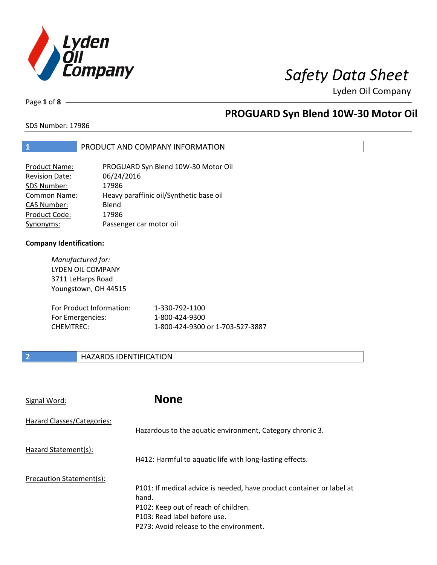

Lyden Oil Company

Page **1** of **8**

### **PROGUARD Syn Blend 10W-30 Motor Oil**

SDS Number: 17986

#### **1** PRODUCT AND COMPANY INFORMATION

| <b>Product Name:</b>  | PROGUARD Syn Blend 10W-30 Motor Oil     |
|-----------------------|-----------------------------------------|
| <b>Revision Date:</b> | 06/24/2016                              |
| SDS Number:           | 17986                                   |
| <b>Common Name:</b>   | Heavy paraffinic oil/Synthetic base oil |
| <b>CAS Number:</b>    | Blend                                   |
| Product Code:         | 17986                                   |
| Synonyms:             | Passenger car motor oil                 |

#### **Company Identification:**

*Manufactured for:*  LYDEN OIL COMPANY 3711 LeHarps Road Youngstown, OH 44515 For Product Information: 1-330-792-1100

For Emergencies: 1-800-424-9300 CHEMTREC: 1-800-424-9300 or 1-703-527-3887

#### **2 HAZARDS IDENTIFICATION**

Signal Word: **None**  Hazard Classes/Categories: Hazardous to the aquatic environment, Category chronic 3. Hazard Statement(s): H412: Harmful to aquatic life with long-lasting effects. Precaution Statement(s): P101: If medical advice is needed, have product container or label at hand. P102: Keep out of reach of children. P103: Read label before use. P273: Avoid release to the environment.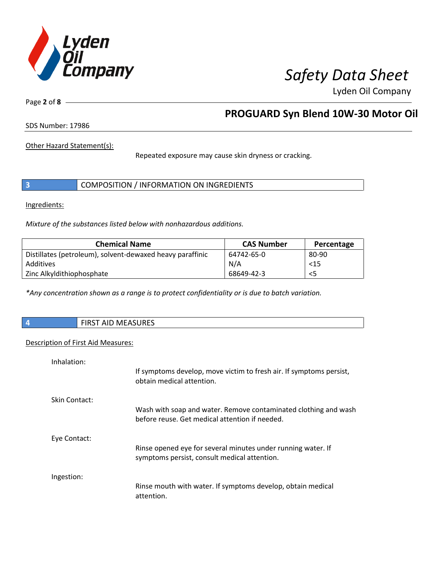

Lyden Oil Company

Page **2** of **8**

### **PROGUARD Syn Blend 10W-30 Motor Oil**

SDS Number: 17986

Other Hazard Statement(s):

Repeated exposure may cause skin dryness or cracking.

|  | COMPOSITION / INFORMATION ON INGREDIENTS |  |
|--|------------------------------------------|--|
|--|------------------------------------------|--|

Ingredients:

*Mixture of the substances listed below with nonhazardous additions.* 

| <b>Chemical Name</b>                                      | <b>CAS Number</b> | Percentage |
|-----------------------------------------------------------|-------------------|------------|
| Distillates (petroleum), solvent-dewaxed heavy paraffinic | 64742-65-0        | 80-90      |
| Additives                                                 | N/A               | $15$       |
| Zinc Alkyldithiophosphate                                 | 68649-42-3        | $<$ 5      |

*\*Any concentration shown as a range is to protect confidentiality or is due to batch variation.*

| $\vert$ 4 | AID MEASURES<br>$\overline{\phantom{a}}$ rinct.<br>כחו־ |
|-----------|---------------------------------------------------------|
|           |                                                         |

#### Description of First Aid Measures:

| Inhalation:   |                                                                                                                   |
|---------------|-------------------------------------------------------------------------------------------------------------------|
|               | If symptoms develop, move victim to fresh air. If symptoms persist,<br>obtain medical attention.                  |
| Skin Contact: |                                                                                                                   |
|               | Wash with soap and water. Remove contaminated clothing and wash<br>before reuse. Get medical attention if needed. |
| Eye Contact:  |                                                                                                                   |
|               | Rinse opened eye for several minutes under running water. If<br>symptoms persist, consult medical attention.      |
| Ingestion:    |                                                                                                                   |
|               | Rinse mouth with water. If symptoms develop, obtain medical<br>attention.                                         |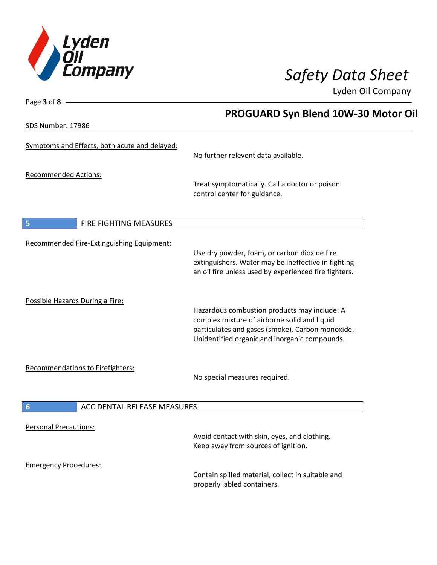

Lyden Oil Company

SDS Number: 17986

Page **3** of **8**

### **PROGUARD Syn Blend 10W-30 Motor Oil**

| Symptoms and Effects, both acute and delayed:         | No further relevent data available.                                                                                                                                                               |
|-------------------------------------------------------|---------------------------------------------------------------------------------------------------------------------------------------------------------------------------------------------------|
| <b>Recommended Actions:</b>                           | Treat symptomatically. Call a doctor or poison<br>control center for guidance.                                                                                                                    |
| 5<br>FIRE FIGHTING MEASURES                           |                                                                                                                                                                                                   |
| Recommended Fire-Extinguishing Equipment:             | Use dry powder, foam, or carbon dioxide fire<br>extinguishers. Water may be ineffective in fighting<br>an oil fire unless used by experienced fire fighters.                                      |
| Possible Hazards During a Fire:                       | Hazardous combustion products may include: A<br>complex mixture of airborne solid and liquid<br>particulates and gases (smoke). Carbon monoxide.<br>Unidentified organic and inorganic compounds. |
| Recommendations to Firefighters:                      | No special measures required.                                                                                                                                                                     |
| $6\phantom{1}6$<br><b>ACCIDENTAL RELEASE MEASURES</b> |                                                                                                                                                                                                   |
| <b>Personal Precautions:</b>                          | Avoid contact with skin, eyes, and clothing.<br>Keep away from sources of ignition.                                                                                                               |
| <b>Emergency Procedures:</b>                          | Contain spilled material, collect in suitable and<br>properly labled containers.                                                                                                                  |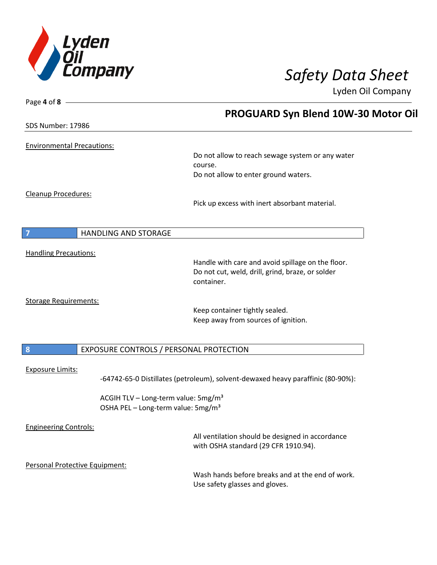

Page **4** of **8**

# *Safety Data Sheet*

Lyden Oil Company

|                                   | <b>PROGUARD Syn Blend 10W-30 Motor Oil</b>                                                            |
|-----------------------------------|-------------------------------------------------------------------------------------------------------|
| SDS Number: 17986                 |                                                                                                       |
| <b>Environmental Precautions:</b> |                                                                                                       |
|                                   | Do not allow to reach sewage system or any water                                                      |
|                                   | course.<br>Do not allow to enter ground waters.                                                       |
| Cleanup Procedures:               |                                                                                                       |
|                                   | Pick up excess with inert absorbant material.                                                         |
| $\overline{\mathbf{z}}$           | <b>HANDLING AND STORAGE</b>                                                                           |
|                                   |                                                                                                       |
| <b>Handling Precautions:</b>      | Handle with care and avoid spillage on the floor.<br>Do not cut, weld, drill, grind, braze, or solder |
|                                   | container.                                                                                            |
| <b>Storage Requirements:</b>      |                                                                                                       |
|                                   | Keep container tightly sealed.<br>Keep away from sources of ignition.                                 |
|                                   |                                                                                                       |
| $\boldsymbol{8}$                  | EXPOSURE CONTROLS / PERSONAL PROTECTION                                                               |
| <b>Exposure Limits:</b>           |                                                                                                       |
|                                   | -64742-65-0 Distillates (petroleum), solvent-dewaxed heavy paraffinic (80-90%):                       |
|                                   | ACGIH TLV - Long-term value: 5mg/m <sup>3</sup><br>OSHA PEL - Long-term value: 5mg/m <sup>3</sup>     |
| <b>Engineering Controls:</b>      |                                                                                                       |
|                                   | All ventilation should be designed in accordance<br>with OSHA standard (29 CFR 1910.94).              |
| Personal Protective Equipment:    |                                                                                                       |
|                                   | Wash hands before breaks and at the end of work.<br>Use safety glasses and gloves.                    |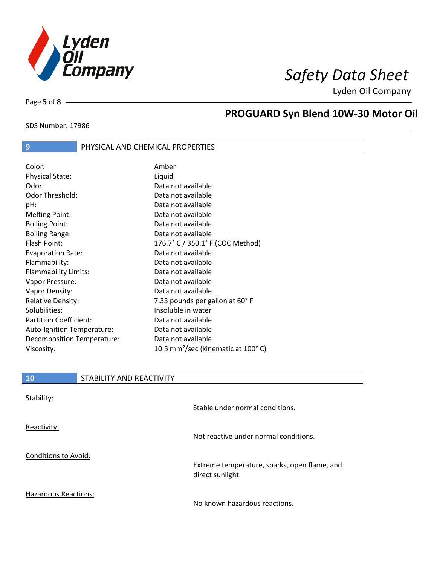

Lyden Oil Company

Page **5** of **8**

### **PROGUARD Syn Blend 10W-30 Motor Oil**

#### SDS Number: 17986

#### **9** PHYSICAL AND CHEMICAL PROPERTIES

| Color:                        | Amber                                                     |
|-------------------------------|-----------------------------------------------------------|
| <b>Physical State:</b>        | Liquid                                                    |
| Odor:                         | Data not available                                        |
| <b>Odor Threshold:</b>        | Data not available                                        |
| pH:                           | Data not available                                        |
| Melting Point:                | Data not available                                        |
| <b>Boiling Point:</b>         | Data not available                                        |
| <b>Boiling Range:</b>         | Data not available                                        |
| Flash Point:                  | 176.7° C / 350.1° F (COC Method)                          |
| <b>Evaporation Rate:</b>      | Data not available                                        |
| Flammability:                 | Data not available                                        |
| Flammability Limits:          | Data not available                                        |
| Vapor Pressure:               | Data not available                                        |
| Vapor Density:                | Data not available                                        |
| <b>Relative Density:</b>      | 7.33 pounds per gallon at 60°F                            |
| Solubilities:                 | Insoluble in water                                        |
| <b>Partition Coefficient:</b> | Data not available                                        |
| Auto-Ignition Temperature:    | Data not available                                        |
| Decomposition Temperature:    | Data not available                                        |
| Viscosity:                    | 10.5 mm <sup>2</sup> /sec (kinematic at 100 $^{\circ}$ C) |

| <b>10</b>                   | STABILITY AND REACTIVITY |                                                                  |
|-----------------------------|--------------------------|------------------------------------------------------------------|
| Stability:                  |                          |                                                                  |
|                             |                          | Stable under normal conditions.                                  |
| Reactivity:                 |                          |                                                                  |
|                             |                          | Not reactive under normal conditions.                            |
| <b>Conditions to Avoid:</b> |                          |                                                                  |
|                             |                          | Extreme temperature, sparks, open flame, and<br>direct sunlight. |
| <b>Hazardous Reactions:</b> |                          |                                                                  |

No known hazardous reactions.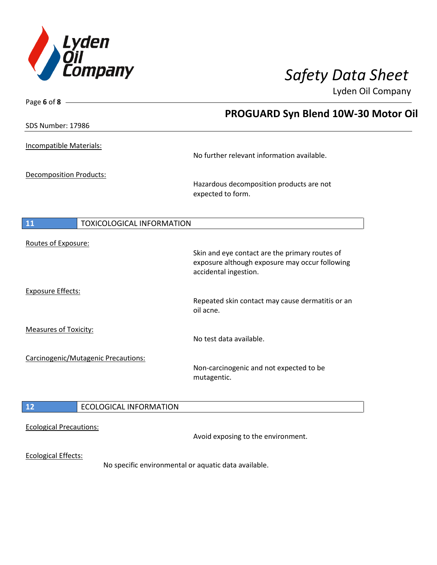

Page **6** of **8**

# *Safety Data Sheet*

Lyden Oil Company

|                                        | PROGUARD Syn Blend 10W-30 Motor Oil                                                                                       |
|----------------------------------------|---------------------------------------------------------------------------------------------------------------------------|
| SDS Number: 17986                      |                                                                                                                           |
| Incompatible Materials:                | No further relevant information available.                                                                                |
| <b>Decomposition Products:</b>         | Hazardous decomposition products are not<br>expected to form.                                                             |
| 11<br><b>TOXICOLOGICAL INFORMATION</b> |                                                                                                                           |
| Routes of Exposure:                    | Skin and eye contact are the primary routes of<br>exposure although exposure may occur following<br>accidental ingestion. |
| <b>Exposure Effects:</b>               | Repeated skin contact may cause dermatitis or an<br>oil acne.                                                             |
| <b>Measures of Toxicity:</b>           | No test data available.                                                                                                   |
| Carcinogenic/Mutagenic Precautions:    | Non-carcinogenic and not expected to be<br>mutagentic.                                                                    |
| 12<br><b>ECOLOGICAL INFORMATION</b>    |                                                                                                                           |
| <b>Ecological Precautions:</b>         | Avoid exposing to the environment.                                                                                        |
| <b>Ecological Effects:</b>             | No specific environmental or aquatic data available.                                                                      |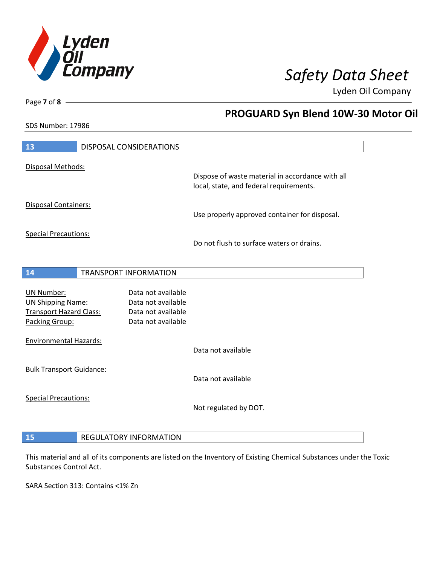

**PROGUARD Syn Blend 10W-30 Motor Oil** 

Lyden Oil Company

SDS Number: 17986

Page **7** of **8**

 $\overline{\phantom{a}}$ 

| 13                              | DISPOSAL CONSIDERATIONS      |                                                  |
|---------------------------------|------------------------------|--------------------------------------------------|
| Disposal Methods:               |                              | Dispose of waste material in accordance with all |
|                                 |                              | local, state, and federal requirements.          |
| <b>Disposal Containers:</b>     |                              | Use properly approved container for disposal.    |
|                                 |                              |                                                  |
| <b>Special Precautions:</b>     |                              | Do not flush to surface waters or drains.        |
| 14                              | <b>TRANSPORT INFORMATION</b> |                                                  |
| <b>UN Number:</b>               | Data not available           |                                                  |
| <b>UN Shipping Name:</b>        | Data not available           |                                                  |
| <b>Transport Hazard Class:</b>  | Data not available           |                                                  |
| Packing Group:                  | Data not available           |                                                  |
| <b>Environmental Hazards:</b>   |                              |                                                  |
|                                 |                              | Data not available                               |
| <b>Bulk Transport Guidance:</b> |                              | Data not available                               |
|                                 |                              |                                                  |
| <b>Special Precautions:</b>     |                              | Not regulated by DOT.                            |
|                                 |                              |                                                  |
|                                 |                              |                                                  |

#### **15** REGULATORY INFORMATION

This material and all of its components are listed on the Inventory of Existing Chemical Substances under the Toxic Substances Control Act.

SARA Section 313: Contains <1% Zn